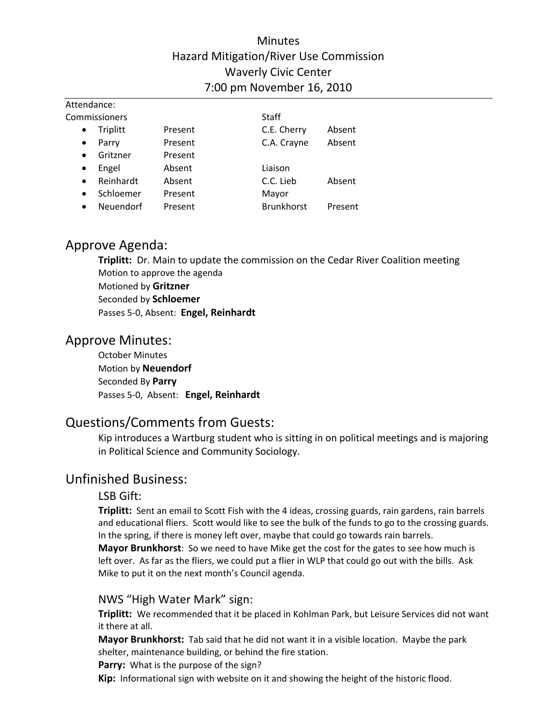# Minutes Hazard Mitigation/River Use Commission Waverly Civic Center 7:00 pm November 16, 2010

| Attendance:            |         |                   |         |  |
|------------------------|---------|-------------------|---------|--|
| Commissioners          |         | Staff             |         |  |
| Triplitt<br>$\bullet$  | Present | C.E. Cherry       | Absent  |  |
| Parry<br>$\bullet$     | Present | C.A. Crayne       | Absent  |  |
| Gritzner<br>$\bullet$  | Present |                   |         |  |
| Engel<br>$\bullet$     | Absent  | Liaison           |         |  |
| Reinhardt<br>$\bullet$ | Absent  | C.C. Lieb         | Absent  |  |
| Schloemer<br>$\bullet$ | Present | Mayor             |         |  |
| Neuendorf<br>$\bullet$ | Present | <b>Brunkhorst</b> | Present |  |

# Approve Agenda:

**Triplitt:** Dr. Main to update the commission on the Cedar River Coalition meeting Motion to approve the agenda Motioned by **Gritzner** Seconded by **Schloemer** Passes 5‐0, Absent: **Engel, Reinhardt**

# Approve Minutes:

October Minutes Motion by **Neuendorf** Seconded By **Parry** Passes 5‐0, Absent: **Engel, Reinhardt**

# Questions/Comments from Guests:

Kip introduces a Wartburg student who is sitting in on political meetings and is majoring in Political Science and Community Sociology.

# Unfinished Business:

## LSB Gift:

**Triplitt:** Sent an email to Scott Fish with the 4 ideas, crossing guards, rain gardens, rain barrels and educational fliers. Scott would like to see the bulk of the funds to go to the crossing guards. In the spring, if there is money left over, maybe that could go towards rain barrels.

**Mayor Brunkhorst**: So we need to have Mike get the cost for the gates to see how much is left over. As far as the fliers, we could put a flier in WLP that could go out with the bills. Ask Mike to put it on the next month's Council agenda.

## NWS "High Water Mark" sign:

Triplitt: We recommended that it be placed in Kohlman Park, but Leisure Services did not want it there at all.

**Mayor Brunkhorst:** Tab said that he did not want it in a visible location. Maybe the park shelter, maintenance building, or behind the fire station.

**Parry:** What is the purpose of the sign?

**Kip:** Informational sign with website on it and showing the height of the historic flood.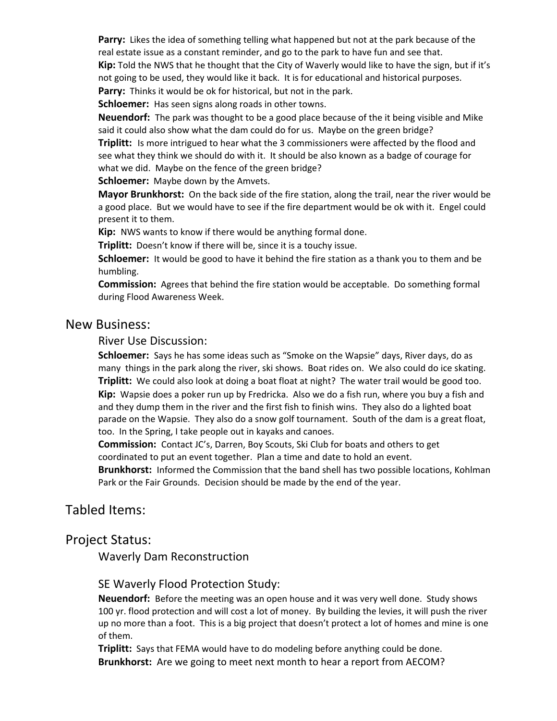**Parry:** Likes the idea of something telling what happened but not at the park because of the real estate issue as a constant reminder, and go to the park to have fun and see that.

**Kip:** Told the NWS that he thought that the City of Waverly would like to have the sign, but if it's not going to be used, they would like it back. It is for educational and historical purposes. **Parry:** Thinks it would be ok for historical, but not in the park.

Schloemer: Has seen signs along roads in other towns.

**Neuendorf:** The park was thought to be a good place because of the it being visible and Mike said it could also show what the dam could do for us. Maybe on the green bridge?

**Triplitt:** Is more intrigued to hear what the 3 commissioners were affected by the flood and see what they think we should do with it. It should be also known as a badge of courage for what we did. Maybe on the fence of the green bridge?

**Schloemer:** Maybe down by the Amvets.

**Mayor Brunkhorst:** On the back side of the fire station, along the trail, near the river would be a good place. But we would have to see if the fire department would be ok with it. Engel could present it to them.

**Kip:** NWS wants to know if there would be anything formal done.

**Triplitt:** Doesn't know if there will be, since it is a touchy issue.

**Schloemer:** It would be good to have it behind the fire station as a thank you to them and be humbling.

**Commission:** Agrees that behind the fire station would be acceptable. Do something formal during Flood Awareness Week.

#### New Business:

River Use Discussion:

**Schloemer:** Says he has some ideas such as "Smoke on the Wapsie" days, River days, do as many things in the park along the river, ski shows. Boat rides on. We also could do ice skating. **Triplitt:** We could also look at doing a boat float at night? The water trail would be good too. **Kip:** Wapsie does a poker run up by Fredricka. Also we do a fish run, where you buy a fish and and they dump them in the river and the first fish to finish wins. They also do a lighted boat parade on the Wapsie. They also do a snow golf tournament. South of the dam is a great float, too. In the Spring, I take people out in kayaks and canoes.

**Commission:** Contact JC's, Darren, Boy Scouts, Ski Club for boats and others to get coordinated to put an event together. Plan a time and date to hold an event.

Brunkhorst: Informed the Commission that the band shell has two possible locations, Kohlman Park or the Fair Grounds. Decision should be made by the end of the year.

# Tabled Items:

### Project Status:

Waverly Dam Reconstruction

#### SE Waverly Flood Protection Study:

**Neuendorf:** Before the meeting was an open house and it was very well done. Study shows 100 yr. flood protection and will cost a lot of money. By building the levies, it will push the river up no more than a foot. This is a big project that doesn't protect a lot of homes and mine is one of them.

**Triplitt:** Says that FEMA would have to do modeling before anything could be done. **Brunkhorst:** Are we going to meet next month to hear a report from AECOM?